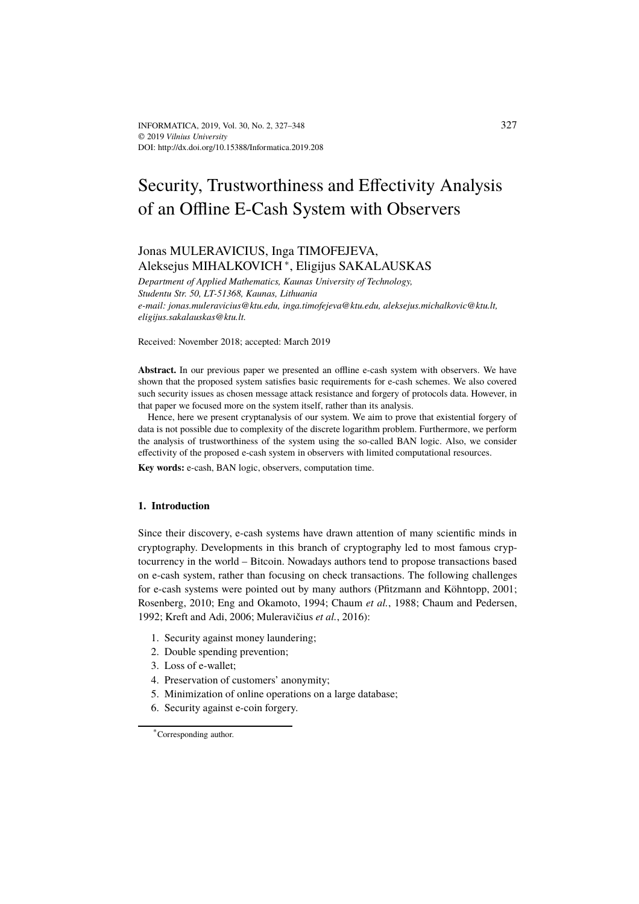# Security, Trustworthiness and Effectivity Analysis of an Offline E-Cash System with Observers

# Jonas MULERAVICIUS, Inga TIMOFEJEVA, Aleksejus MIHALKOVICH <sup>∗</sup> , Eligijus SAKALAUSKAS

*Department of Applied Mathematics, Kaunas University of Technology, Studentu Str. 50, LT-51368, Kaunas, Lithuania e-mail: jonas.muleravicius@ktu.edu, inga.timofejeva@ktu.edu, aleksejus.michalkovic@ktu.lt, eligijus.sakalauskas@ktu.lt.*

Received: November 2018; accepted: March 2019

**Abstract.** In our previous paper we presented an offline e-cash system with observers. We have shown that the proposed system satisfies basic requirements for e-cash schemes. We also covered such security issues as chosen message attack resistance and forgery of protocols data. However, in that paper we focused more on the system itself, rather than its analysis.

Hence, here we present cryptanalysis of our system. We aim to prove that existential forgery of data is not possible due to complexity of the discrete logarithm problem. Furthermore, we perform the analysis of trustworthiness of the system using the so-called BAN logic. Also, we consider effectivity of the proposed e-cash system in observers with limited computational resources.

**Key words:** e-cash, BAN logic, observers, computation time.

# **1. Introduction**

Since their discovery, e-cash systems have drawn attention of many scientific minds in cryptography. Developments in this branch of cryptography led to most famous cryptocurrency in the world – Bitcoin. Nowadays authors tend to propose transactions based on e-cash system, rather than focusing on check transactions. The following challenges for e-cash systems were pointed out by many authors (Pfitzmann and Köhntopp, 2001; Rosenberg, 2010; Eng and Okamoto, 1994; Chaum *et al.*, 1988; Chaum and Pedersen, 1992; Kreft and Adi, 2006; Muleravičius *et al.*, 2016):

- 1. Security against money laundering;
- 2. Double spending prevention;
- 3. Loss of e-wallet;
- 4. Preservation of customers' anonymity;
- 5. Minimization of online operations on a large database;
- 6. Security against e-coin forgery.

<sup>\*</sup>Corresponding author.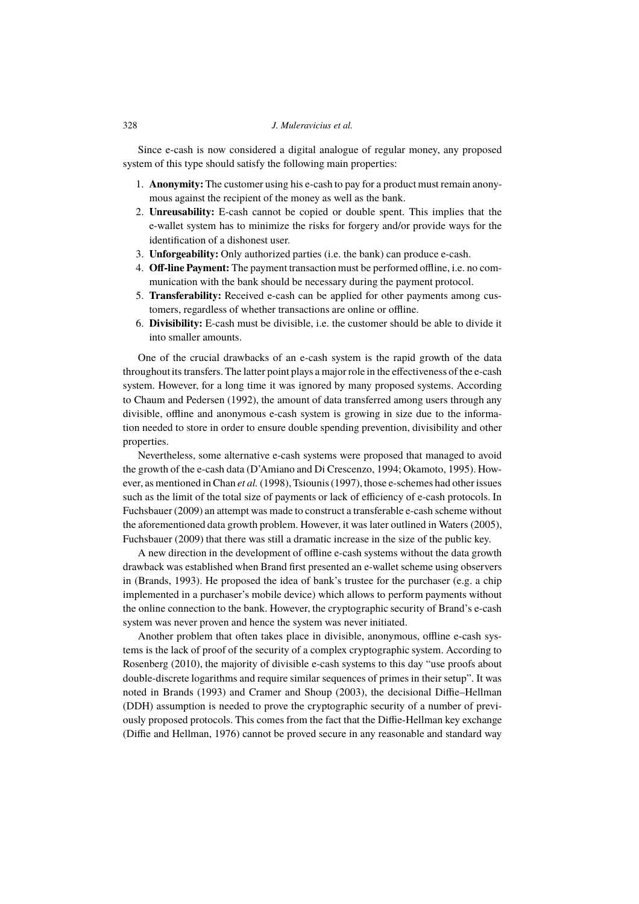# 328 *J. Muleravicius et al.*

Since e-cash is now considered a digital analogue of regular money, any proposed system of this type should satisfy the following main properties:

- 1. **Anonymity:** The customer using his e-cash to pay for a product must remain anonymous against the recipient of the money as well as the bank.
- 2. **Unreusability:** E-cash cannot be copied or double spent. This implies that the e-wallet system has to minimize the risks for forgery and/or provide ways for the identification of a dishonest user.
- 3. **Unforgeability:** Only authorized parties (i.e. the bank) can produce e-cash.
- 4. **Off-line Payment:** The payment transaction must be performed offline, i.e. no communication with the bank should be necessary during the payment protocol.
- 5. **Transferability:** Received e-cash can be applied for other payments among customers, regardless of whether transactions are online or offline.
- 6. **Divisibility:** E-cash must be divisible, i.e. the customer should be able to divide it into smaller amounts.

One of the crucial drawbacks of an e-cash system is the rapid growth of the data throughoutits transfers. The latter point plays a major role in the effectiveness of the e-cash system. However, for a long time it was ignored by many proposed systems. According to Chaum and Pedersen (1992), the amount of data transferred among users through any divisible, offline and anonymous e-cash system is growing in size due to the information needed to store in order to ensure double spending prevention, divisibility and other properties.

Nevertheless, some alternative e-cash systems were proposed that managed to avoid the growth of the e-cash data (D'Amiano and Di Crescenzo, 1994; Okamoto, 1995). However, as mentioned in Chan *et al.* (1998), Tsiounis (1997), those e-schemes had other issues such as the limit of the total size of payments or lack of efficiency of e-cash protocols. In Fuchsbauer (2009) an attempt was made to construct a transferable e-cash scheme without the aforementioned data growth problem. However, it was later outlined in Waters (2005), Fuchsbauer (2009) that there was still a dramatic increase in the size of the public key.

A new direction in the development of offline e-cash systems without the data growth drawback was established when Brand first presented an e-wallet scheme using observers in (Brands, 1993). He proposed the idea of bank's trustee for the purchaser (e.g. a chip implemented in a purchaser's mobile device) which allows to perform payments without the online connection to the bank. However, the cryptographic security of Brand's e-cash system was never proven and hence the system was never initiated.

Another problem that often takes place in divisible, anonymous, offline e-cash systems is the lack of proof of the security of a complex cryptographic system. According to Rosenberg (2010), the majority of divisible e-cash systems to this day "use proofs about double-discrete logarithms and require similar sequences of primes in their setup". It was noted in Brands (1993) and Cramer and Shoup (2003), the decisional Diffie–Hellman (DDH) assumption is needed to prove the cryptographic security of a number of previously proposed protocols. This comes from the fact that the Diffie-Hellman key exchange (Diffie and Hellman, 1976) cannot be proved secure in any reasonable and standard way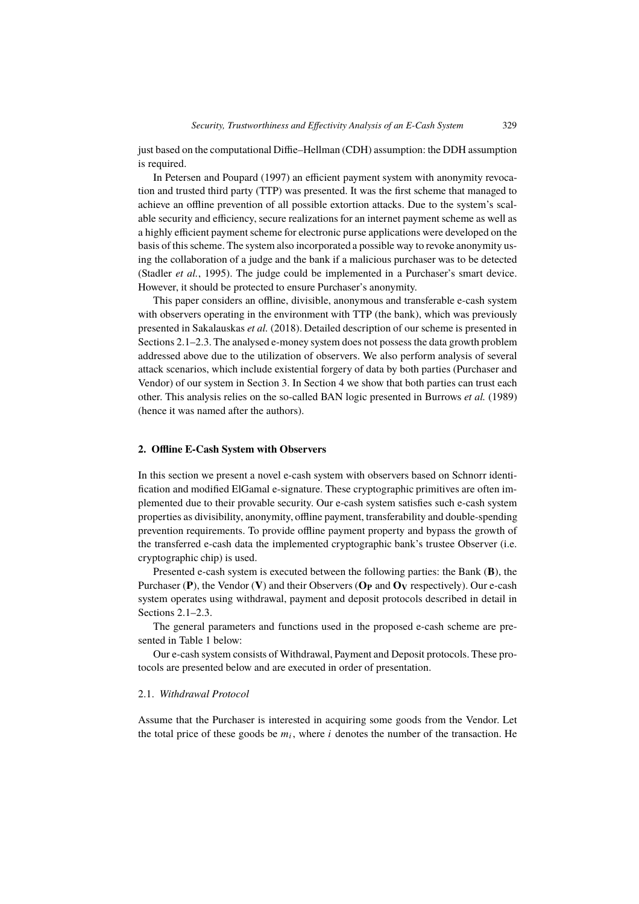just based on the computational Diffie–Hellman (CDH) assumption: the DDH assumption is required.

In Petersen and Poupard (1997) an efficient payment system with anonymity revocation and trusted third party (TTP) was presented. It was the first scheme that managed to achieve an offline prevention of all possible extortion attacks. Due to the system's scalable security and efficiency, secure realizations for an internet payment scheme as well as a highly efficient payment scheme for electronic purse applications were developed on the basis of this scheme. The system also incorporated a possible way to revoke anonymity using the collaboration of a judge and the bank if a malicious purchaser was to be detected (Stadler *et al.*, 1995). The judge could be implemented in a Purchaser's smart device. However, it should be protected to ensure Purchaser's anonymity.

This paper considers an offline, divisible, anonymous and transferable e-cash system with observers operating in the environment with TTP (the bank), which was previously presented in Sakalauskas *et al.* (2018). Detailed description of our scheme is presented in Sections 2.1–2.3. The analysed e-money system does not possess the data growth problem addressed above due to the utilization of observers. We also perform analysis of several attack scenarios, which include existential forgery of data by both parties (Purchaser and Vendor) of our system in Section 3. In Section 4 we show that both parties can trust each other. This analysis relies on the so-called BAN logic presented in Burrows *et al.* (1989) (hence it was named after the authors).

# **2. Offline E-Cash System with Observers**

In this section we present a novel e-cash system with observers based on Schnorr identification and modified ElGamal e-signature. These cryptographic primitives are often implemented due to their provable security. Our e-cash system satisfies such e-cash system properties as divisibility, anonymity, offline payment, transferability and double-spending prevention requirements. To provide offline payment property and bypass the growth of the transferred e-cash data the implemented cryptographic bank's trustee Observer (i.e. cryptographic chip) is used.

Presented e-cash system is executed between the following parties: the Bank (**B**), the Purchaser (**P**), the Vendor (**V**) and their Observers (**O<sup>P</sup>** and **O<sup>V</sup>** respectively). Our e-cash system operates using withdrawal, payment and deposit protocols described in detail in Sections 2.1–2.3.

The general parameters and functions used in the proposed e-cash scheme are presented in Table 1 below:

Our e-cash system consists of Withdrawal, Payment and Deposit protocols. These protocols are presented below and are executed in order of presentation.

#### 2.1. *Withdrawal Protocol*

Assume that the Purchaser is interested in acquiring some goods from the Vendor. Let the total price of these goods be  $m_i$ , where i denotes the number of the transaction. He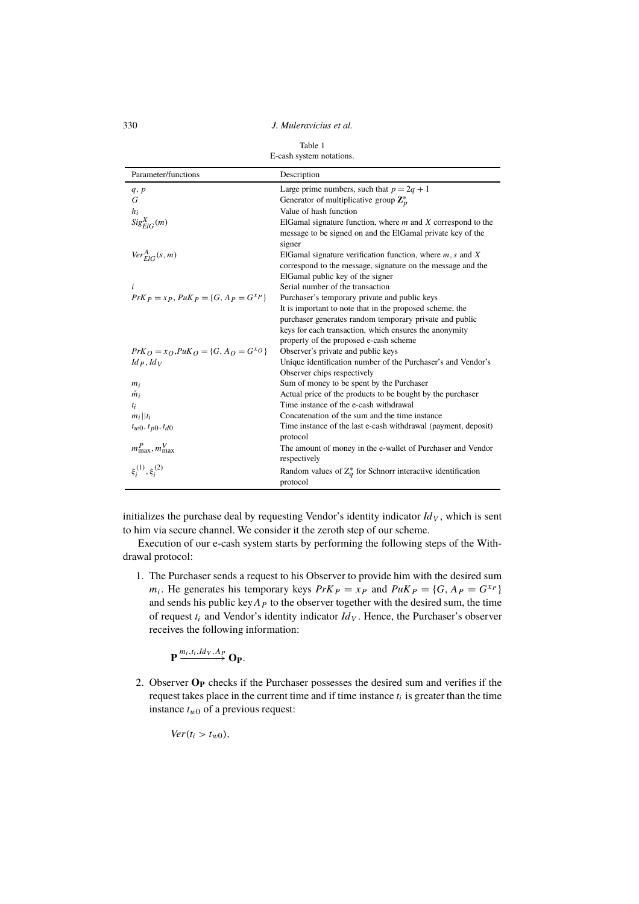330 *J. Muleravicius et al.*

| E-cash system notations.                     |                                                                            |  |  |
|----------------------------------------------|----------------------------------------------------------------------------|--|--|
| Parameter/functions                          | Description                                                                |  |  |
| q, p                                         | Large prime numbers, such that $p = 2q + 1$                                |  |  |
| G                                            | Generator of multiplicative group $\mathbb{Z}_p^*$                         |  |  |
| $h_i$                                        | Value of hash function                                                     |  |  |
| $Sig_{EIG}^X(m)$                             | ElGamal signature function, where $m$ and $X$ correspond to the            |  |  |
|                                              | message to be signed on and the ElGamal private key of the                 |  |  |
|                                              | signer                                                                     |  |  |
| $Ver^A_{ElG}(s, m)$                          | ElGamal signature verification function, where $m, s$ and X                |  |  |
|                                              | correspond to the message, signature on the message and the                |  |  |
|                                              | ElGamal public key of the signer                                           |  |  |
| i                                            | Serial number of the transaction                                           |  |  |
| $PrK_P = xp$ , $PuK_P = \{G, Ap = G^{XP}\}\$ | Purchaser's temporary private and public keys                              |  |  |
|                                              | It is important to note that in the proposed scheme, the                   |  |  |
|                                              | purchaser generates random temporary private and public                    |  |  |
|                                              | keys for each transaction, which ensures the anonymity                     |  |  |
|                                              | property of the proposed e-cash scheme                                     |  |  |
| $PrK_O = x_O, P u K_O = {G, A_O = G^{XO}}$   | Observer's private and public keys                                         |  |  |
| $Id_P$ , $Id_V$                              | Unique identification number of the Purchaser's and Vendor's               |  |  |
|                                              | Observer chips respectively                                                |  |  |
| $m_i$                                        | Sum of money to be spent by the Purchaser                                  |  |  |
| $\tilde{m}_i$                                | Actual price of the products to be bought by the purchaser                 |  |  |
| $t_i$                                        | Time instance of the e-cash withdrawal                                     |  |  |
| $m_i  t_i$                                   | Concatenation of the sum and the time instance                             |  |  |
| $t_{w0}, t_{p0}, t_{d0}$                     | Time instance of the last e-cash withdrawal (payment, deposit)<br>protocol |  |  |
| $m_{\text{max}}^P, m_{\text{max}}^V$         | The amount of money in the e-wallet of Purchaser and Vendor                |  |  |
|                                              | respectively                                                               |  |  |
| $\xi_i^{(1)}, \xi_i^{(2)}$                   | Random values of $Z_q^*$ for Schnorr interactive identification            |  |  |
|                                              | protocol                                                                   |  |  |

initializes the purchase deal by requesting Vendor's identity indicator  $Id_V$ , which is sent to him via secure channel. We consider it the zeroth step of our scheme.

Execution of our e-cash system starts by performing the following steps of the Withdrawal protocol:

1. The Purchaser sends a request to his Observer to provide him with the desired sum  $m_i$ . He generates his temporary keys  $PrK_P = x_P$  and  $PuK_P = \{G, A_P = G^{x_P}\}\$ and sends his public key  $A_P$  to the observer together with the desired sum, the time of request  $t_i$  and Vendor's identity indicator  $Id_V$ . Hence, the Purchaser's observer receives the following information:

$$
\mathbf{P} \xrightarrow{m_i, t_i, Id_V, A_P} \mathbf{O}_{\mathbf{P}}.
$$

2. Observer **O<sup>P</sup>** checks if the Purchaser possesses the desired sum and verifies if the request takes place in the current time and if time instance  $t_i$  is greater than the time instance  $t_{w0}$  of a previous request:

 $Ver(t_i > t_{w0}),$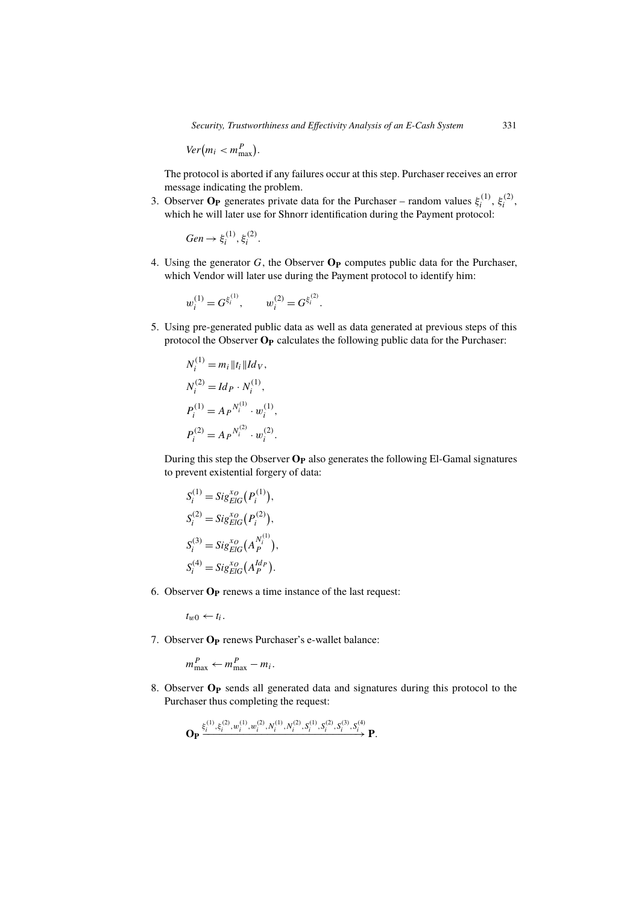$\text{Ver}(m_i < m_{\text{max}}^P).$ 

The protocol is aborted if any failures occur at this step. Purchaser receives an error message indicating the problem.

3. Observer  $O_P$  generates private data for the Purchaser – random values  $\xi_i^{(1)}$  $\zeta_i^{(1)}, \xi_i^{(2)}$  $\binom{2}{i}$ which he will later use for Shnorr identification during the Payment protocol:

$$
Gen \rightarrow \xi_i^{(1)}, \xi_i^{(2)}.
$$

4. Using the generator G, the Observer **O<sup>P</sup>** computes public data for the Purchaser, which Vendor will later use during the Payment protocol to identify him:

$$
w_i^{(1)} = G^{\xi_i^{(1)}}, \qquad w_i^{(2)} = G^{\xi_i^{(2)}}.
$$

5. Using pre-generated public data as well as data generated at previous steps of this protocol the Observer **O<sup>P</sup>** calculates the following public data for the Purchaser:

$$
N_i^{(1)} = m_i ||t_i|| I d_V,
$$
  
\n
$$
N_i^{(2)} = I d_P \cdot N_i^{(1)},
$$
  
\n
$$
P_i^{(1)} = A_P N_i^{(1)} \cdot w_i^{(1)},
$$
  
\n
$$
P_i^{(2)} = A_P N_i^{(2)} \cdot w_i^{(2)}.
$$

During this step the Observer **O<sup>P</sup>** also generates the following El-Gamal signatures to prevent existential forgery of data:

$$
S_i^{(1)} = Sig_{EIG}^{x_O}(P_i^{(1)}),
$$
  
\n
$$
S_i^{(2)} = Sig_{EIG}^{x_O}(P_i^{(2)}),
$$
  
\n
$$
S_i^{(3)} = Sig_{EIG}^{x_O}(A_P^{N_i^{(1)}}),
$$
  
\n
$$
S_i^{(4)} = Sig_{EIG}^{x_O}(A_P^{Id_P}).
$$

6. Observer **O<sup>P</sup>** renews a time instance of the last request:

 $t_{w0} \leftarrow t_i$ .

7. Observer **O<sup>P</sup>** renews Purchaser's e-wallet balance:

.

$$
m_{\max}^P \leftarrow m_{\max}^P - m_i
$$

8. Observer **O<sup>P</sup>** sends all generated data and signatures during this protocol to the Purchaser thus completing the request:

$$
\mathbf{O}_{\mathbf{P}} \xrightarrow{\xi_i^{(1)}, \xi_i^{(2)}, w_i^{(1)}, w_i^{(2)}, N_i^{(1)}, N_i^{(2)}, S_i^{(1)}, S_i^{(2)}, S_i^{(3)}, S_i^{(4)}} \mathbf{P}.
$$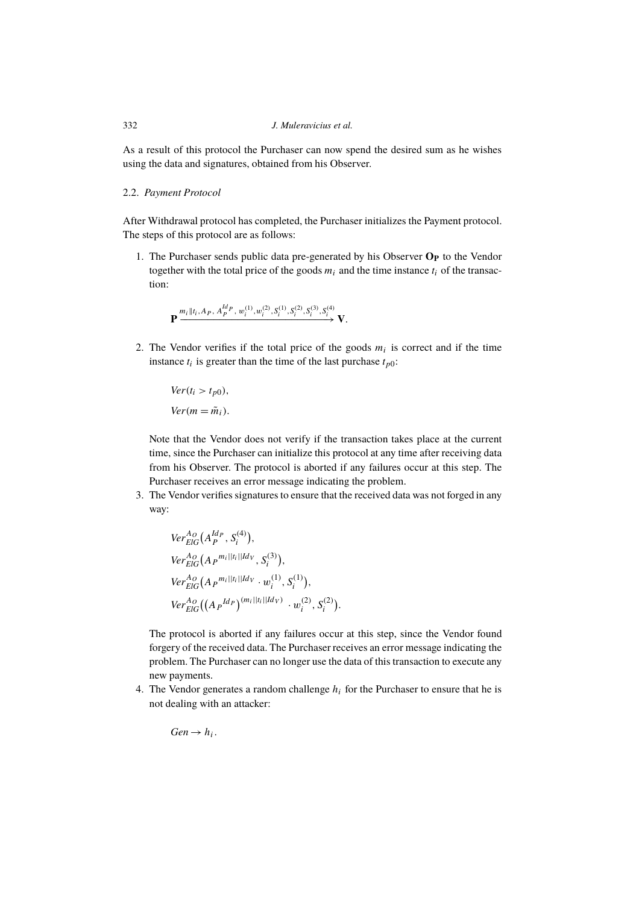#### 332 *J. Muleravicius et al.*

As a result of this protocol the Purchaser can now spend the desired sum as he wishes using the data and signatures, obtained from his Observer.

#### 2.2. *Payment Protocol*

After Withdrawal protocol has completed, the Purchaser initializes the Payment protocol. The steps of this protocol are as follows:

1. The Purchaser sends public data pre-generated by his Observer **O<sup>P</sup>** to the Vendor together with the total price of the goods  $m_i$  and the time instance  $t_i$  of the transaction:

$$
\mathbf{P} \xrightarrow{m_i \|t_i, A_P, A_P^{Id_P}, w_i^{(1)}, w_i^{(2)}, S_i^{(1)}, S_i^{(2)}, S_i^{(3)}, S_i^{(4)}} \mathbf{V}.
$$

2. The Vendor verifies if the total price of the goods  $m_i$  is correct and if the time instance  $t_i$  is greater than the time of the last purchase  $t_{p0}$ :

 $Ver(t_i > t_{p0}),$  $Ver(m = \tilde{m}_i)$ .

Note that the Vendor does not verify if the transaction takes place at the current time, since the Purchaser can initialize this protocol at any time after receiving data from his Observer. The protocol is aborted if any failures occur at this step. The Purchaser receives an error message indicating the problem.

3. The Vendor verifies signatures to ensure that the received data was not forged in any way:

$$
Ver_{ElG}^{Ao}(A_P^{Id_P}, S_i^{(4)}),
$$
  
\n
$$
Ver_{ElG}^{Ao}(A_P^{m_i||t_i||Id_V}, S_i^{(3)}),
$$
  
\n
$$
Ver_{ElG}^{Ao}(A_P^{m_i||t_i||Id_V} \cdot w_i^{(1)}, S_i^{(1)}),
$$
  
\n
$$
Ver_{ElG}^{Ao}((A_P^{Id_P})^{(m_i||t_i||Id_V)} \cdot w_i^{(2)}, S_i^{(2)}).
$$

The protocol is aborted if any failures occur at this step, since the Vendor found forgery of the received data. The Purchaser receives an error message indicating the problem. The Purchaser can no longer use the data of this transaction to execute any new payments.

4. The Vendor generates a random challenge  $h_i$  for the Purchaser to ensure that he is not dealing with an attacker:

 $Gen \rightarrow h_i$ .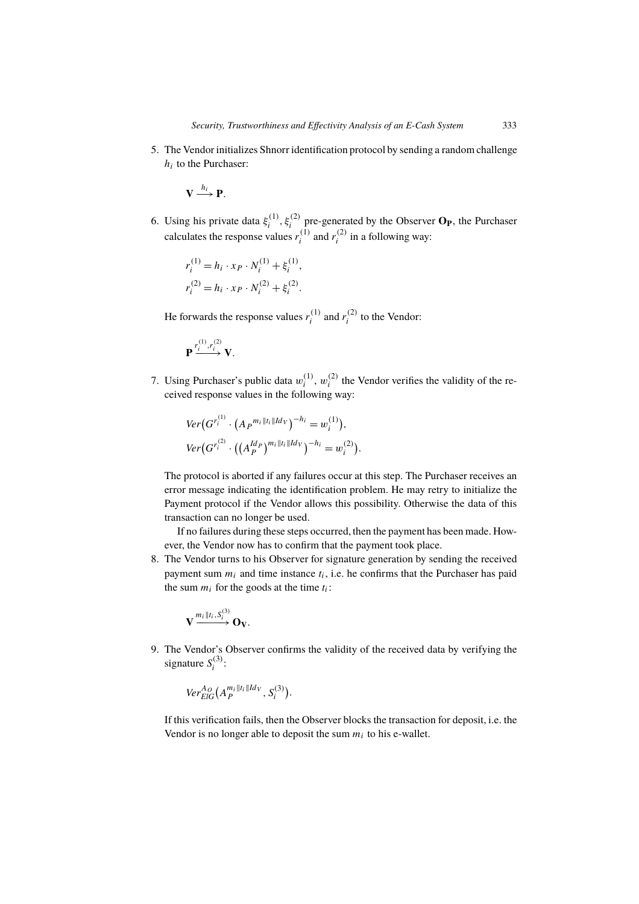5. The Vendor initializes Shnorr identification protocol by sending a random challenge  $h_i$  to the Purchaser:

 $\mathbf{V} \stackrel{h_i}{\longrightarrow} \mathbf{P}.$ 

6. Using his private data  $\xi_i^{(1)}$  $\hat{\mathbf{g}}_i^{(1)}$ ,  $\hat{\mathbf{g}}_i^{(2)}$  pre-generated by the Observer **O<sub>P</sub>**, the Purchaser calculates the response values  $r_i^{(1)}$  $\sum_{i=1}^{(1)}$  and  $r_i^{(2)}$  $i^{(2)}$  in a following way:

$$
\begin{aligned} r_i^{(1)} = h_i \cdot x_P \cdot N_i^{(1)} + \xi_i^{(1)}, \\ r_i^{(2)} = h_i \cdot x_P \cdot N_i^{(2)} + \xi_i^{(2)}. \end{aligned}
$$

He forwards the response values  $r_i^{(1)}$  $i^{(1)}$  and  $r_i^{(2)}$  $i^{(2)}$  to the Vendor:

$$
\mathbf{P} \xrightarrow{r_i^{(1)}, r_i^{(2)}} \mathbf{V}.
$$

7. Using Purchaser's public data  $w_i^{(1)}$  $\binom{1}{i}$ ,  $w_i^{(2)}$  $t_i^{(2)}$  the Vendor verifies the validity of the received response values in the following way:

$$
Ver(G^{r_i^{(1)}} \cdot (A_P^{m_i || t_i || Id_V})^{-h_i} = w_i^{(1)}),
$$
  
\n
$$
Ver(G^{r_i^{(2)}} \cdot ((A_P^{Id_P})^{m_i || t_i || Id_V})^{-h_i} = w_i^{(2)}).
$$

The protocol is aborted if any failures occur at this step. The Purchaser receives an error message indicating the identification problem. He may retry to initialize the Payment protocol if the Vendor allows this possibility. Otherwise the data of this transaction can no longer be used.

If no failures during these steps occurred, then the payment has been made. However, the Vendor now has to confirm that the payment took place.

8. The Vendor turns to his Observer for signature generation by sending the received payment sum  $m_i$  and time instance  $t_i$ , i.e. he confirms that the Purchaser has paid the sum  $m_i$  for the goods at the time  $t_i$ :

$$
\mathbf{V} \xrightarrow{m_i \|t_i, S_i^{(3)}} \mathbf{O_V}.
$$

9. The Vendor's Observer confirms the validity of the received data by verifying the signature  $S_i^{(3)}$  $i^{(3)}$ :

$$
Ver_{ElG}^{A_O}(A_P^{m_i||t_i||Id_V}, S_i^{(3)}).
$$

If this verification fails, then the Observer blocks the transaction for deposit, i.e. the Vendor is no longer able to deposit the sum  $m_i$  to his e-wallet.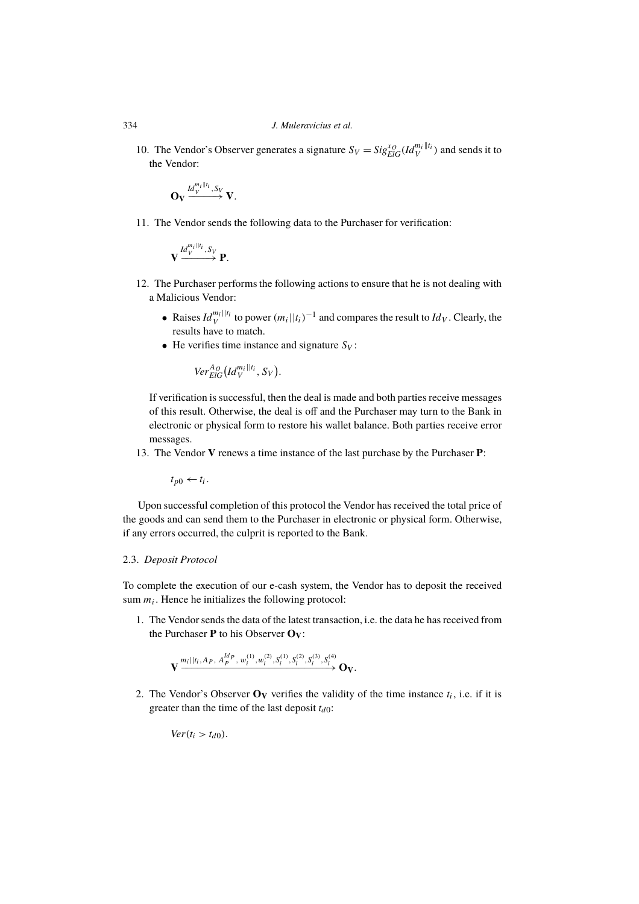10. The Vendor's Observer generates a signature  $S_V = Sig_{EIG}^{x_O}(Id_V^{m_i||t_i})$  and sends it to the Vendor:

$$
\mathbf{O}_{\mathbf{V}}\xrightarrow{Id^{m_i\parallel t_i}_V, S_V}_\mathbf{V}.
$$

11. The Vendor sends the following data to the Purchaser for verification:

$$
\mathbf{V} \xrightarrow{Id_V^{m_i \mid \mid t_i}, S_V} \mathbf{P}.
$$

- 12. The Purchaser performs the following actions to ensure that he is not dealing with a Malicious Vendor:
	- Raises  $Id_V^{m_i||t_i}$  to power  $(m_i||t_i)^{-1}$  and compares the result to  $Id_V$ . Clearly, the results have to match.
	- He verifies time instance and signature  $S_V$ :

$$
Ver_{ElG}^{A_O}(Id_V^{m_i||t_i}, S_V).
$$

If verification is successful, then the deal is made and both parties receive messages of this result. Otherwise, the deal is off and the Purchaser may turn to the Bank in electronic or physical form to restore his wallet balance. Both parties receive error messages.

13. The Vendor **V** renews a time instance of the last purchase by the Purchaser **P**:

 $t_{p0} \leftarrow t_i$ .

Upon successful completion of this protocol the Vendor has received the total price of the goods and can send them to the Purchaser in electronic or physical form. Otherwise, if any errors occurred, the culprit is reported to the Bank.

## 2.3. *Deposit Protocol*

To complete the execution of our e-cash system, the Vendor has to deposit the received sum  $m_i$ . Hence he initializes the following protocol:

1. The Vendor sends the data of the latest transaction, i.e. the data he has received from the Purchaser **P** to his Observer **OV**:

$$
\mathbf{V} \xrightarrow{m_i||t_i, A_P, A_P^{Id_P}, w_i^{(1)}, w_i^{(2)}, S_i^{(1)}, S_i^{(2)}, S_i^{(3)}, S_i^{(4)}} \mathbf{O}_V.
$$

2. The Vendor's Observer  $\mathbf{O}_V$  verifies the validity of the time instance  $t_i$ , i.e. if it is greater than the time of the last deposit  $t_{d0}$ :

 $Ver(t_i > t_{d0}).$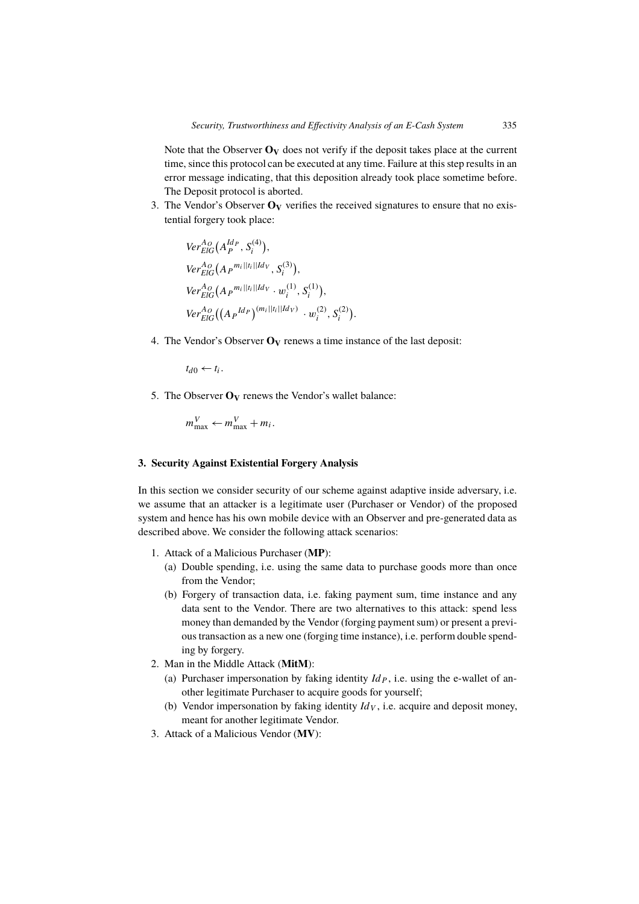Note that the Observer  $\mathbf{O}_V$  does not verify if the deposit takes place at the current time, since this protocol can be executed at any time. Failure at this step results in an error message indicating, that this deposition already took place sometime before. The Deposit protocol is aborted.

3. The Vendor's Observer  $O_V$  verifies the received signatures to ensure that no existential forgery took place:

.

$$
Ver_{EIG}^{A_O}(A_P^{Id_P}, S_i^{(4)}),
$$
  
\n
$$
Ver_{EIG}^{A_O}(A_P^{m_i||t_i||Id_V}, S_i^{(3)}),
$$
  
\n
$$
Ver_{EIG}^{A_O}(A_P^{m_i||t_i||Id_V} \cdot w_i^{(1)}, S_i^{(1)}),
$$
  
\n
$$
Ver_{EIG}^{A_O}((A_P^{Id_P})^{(m_i||t_i||Id_V)} \cdot w_i^{(2)}, S_i^{(2)})
$$

4. The Vendor's Observer **O<sup>V</sup>** renews a time instance of the last deposit:

 $t_{d0} \leftarrow t_i$ .

5. The Observer  $O_V$  renews the Vendor's wallet balance:

$$
m_{\max}^V \leftarrow m_{\max}^V + m_i.
$$

## **3. Security Against Existential Forgery Analysis**

In this section we consider security of our scheme against adaptive inside adversary, i.e. we assume that an attacker is a legitimate user (Purchaser or Vendor) of the proposed system and hence has his own mobile device with an Observer and pre-generated data as described above. We consider the following attack scenarios:

- 1. Attack of a Malicious Purchaser (**MP**):
	- (a) Double spending, i.e. using the same data to purchase goods more than once from the Vendor;
	- (b) Forgery of transaction data, i.e. faking payment sum, time instance and any data sent to the Vendor. There are two alternatives to this attack: spend less money than demanded by the Vendor (forging payment sum) or present a previous transaction as a new one (forging time instance), i.e. perform double spending by forgery.
- 2. Man in the Middle Attack (**MitM**):
	- (a) Purchaser impersonation by faking identity  $Id_P$ , i.e. using the e-wallet of another legitimate Purchaser to acquire goods for yourself;
	- (b) Vendor impersonation by faking identity  $Id_V$ , i.e. acquire and deposit money, meant for another legitimate Vendor.
- 3. Attack of a Malicious Vendor (**MV**):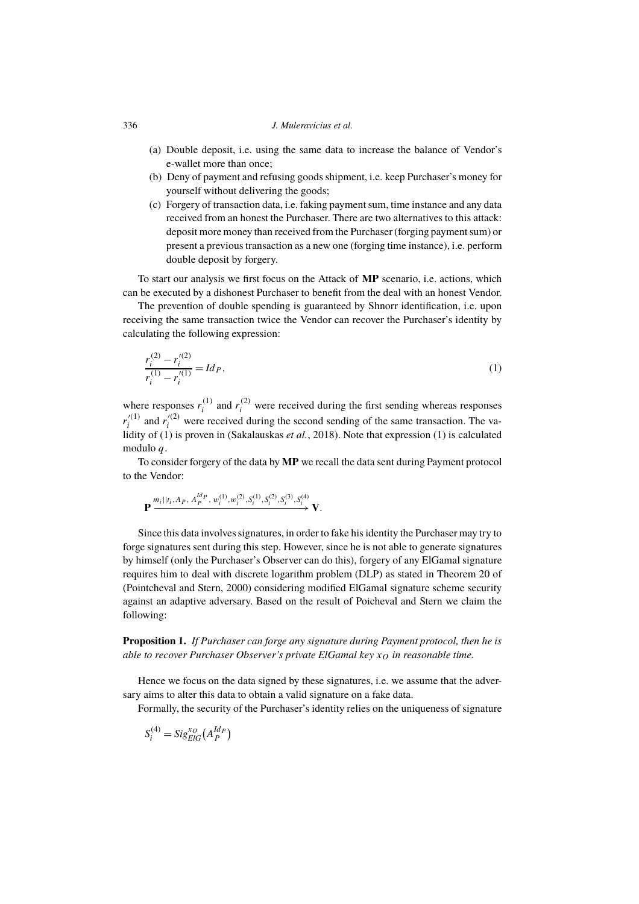#### 336 *J. Muleravicius et al.*

- (a) Double deposit, i.e. using the same data to increase the balance of Vendor's e-wallet more than once;
- (b) Deny of payment and refusing goods shipment, i.e. keep Purchaser's money for yourself without delivering the goods;
- (c) Forgery of transaction data, i.e. faking payment sum, time instance and any data received from an honest the Purchaser. There are two alternatives to this attack: deposit more money than received from the Purchaser (forging payment sum) or present a previous transaction as a new one (forging time instance), i.e. perform double deposit by forgery.

To start our analysis we first focus on the Attack of **MP** scenario, i.e. actions, which can be executed by a dishonest Purchaser to benefit from the deal with an honest Vendor.

The prevention of double spending is guaranteed by Shnorr identification, i.e. upon receiving the same transaction twice the Vendor can recover the Purchaser's identity by calculating the following expression:

$$
\frac{r_i^{(2)} - r_i'^{(2)}}{r_i^{(1)} - r_i'^{(1)}} = Id_P,
$$
\n(1)

where responses  $r_i^{(1)}$  $i_j^{(1)}$  and  $r_i^{(2)}$  were received during the first sending whereas responses  $r_i^{\prime(1)}$  $r_i^{(1)}$  and  $r_i^{(2)}$  were received during the second sending of the same transaction. The validity of (1) is proven in (Sakalauskas *et al.*, 2018). Note that expression (1) is calculated modulo  $q$ .

To consider forgery of the data by **MP** we recall the data sent during Payment protocol to the Vendor:

$$
\mathbf{P} \xrightarrow{m_i ||t_i, A_P, A_P^{ld_P}, w_i^{(1)}, w_i^{(2)}, S_i^{(1)}, S_i^{(2)}, S_i^{(3)}, S_i^{(4)}} \mathbf{V}.
$$

Since this data involves signatures, in order to fake his identity the Purchaser may try to forge signatures sent during this step. However, since he is not able to generate signatures by himself (only the Purchaser's Observer can do this), forgery of any ElGamal signature requires him to deal with discrete logarithm problem (DLP) as stated in Theorem 20 of (Pointcheval and Stern, 2000) considering modified ElGamal signature scheme security against an adaptive adversary. Based on the result of Poicheval and Stern we claim the following:

**Proposition 1.** *If Purchaser can forge any signature during Payment protocol, then he is able to recover Purchaser Observer's private ElGamal key*  $x<sub>O</sub>$  *in reasonable time.* 

Hence we focus on the data signed by these signatures, i.e. we assume that the adversary aims to alter this data to obtain a valid signature on a fake data.

Formally, the security of the Purchaser's identity relies on the uniqueness of signature

$$
S_i^{(4)} = \text{Sig}_{\text{EIG}}^{x_O} \left( A_P^{\text{Id}_P} \right)
$$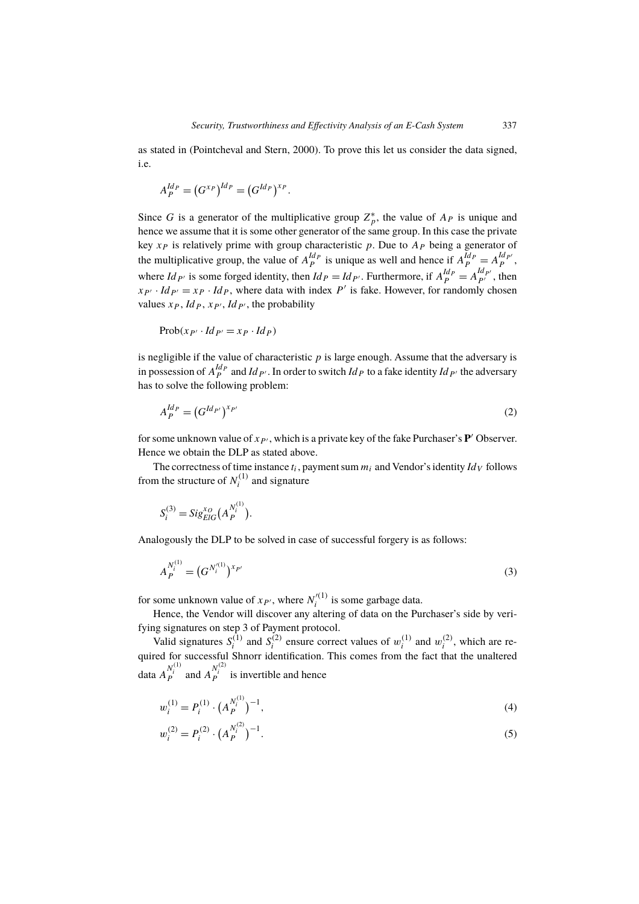as stated in (Pointcheval and Stern, 2000). To prove this let us consider the data signed, i.e.

$$
A_P^{Id_P} = (G^{x_P})^{Id_P} = (G^{Id_P})^{x_P}.
$$

Since G is a generator of the multiplicative group  $Z_p^*$ , the value of  $A_p$  is unique and hence we assume that it is some other generator of the same group. In this case the private key  $x_P$  is relatively prime with group characteristic p. Due to  $A_P$  being a generator of the multiplicative group, the value of  $A_P^{Id_P}$  is unique as well and hence if  $A_P^{Id_P} = A_P^{Id_{P'}}$ , where  $Id_{P'}$  is some forged identity, then  $Id_P = Id_{P'}$ . Furthermore, if  $A_P^{Id_P} = A_{P'}^{Id_{P'}}$ , then  $x_{P'} \cdot Id_{P'} = x_P \cdot Id_P$ , where data with index P' is fake. However, for randomly chosen values  $x_P$ ,  $Id_P$ ,  $x_{P'}$ ,  $Id_{P'}$ , the probability

$$
\mathrm{Prob}(x_{P'} \cdot Id_{P'} = x_{P} \cdot Id_{P})
$$

is negligible if the value of characteristic  $p$  is large enough. Assume that the adversary is in possession of  $A_P^{Id_P}$  and  $Id_{P'}$ . In order to switch  $Id_P$  to a fake identity  $Id_{P'}$  the adversary has to solve the following problem:

$$
A_P^{Id_P} = \left(G^{Id_{P'}}\right)^{x_{P'}}\tag{2}
$$

for some unknown value of  $x_{P}$ , which is a private key of the fake Purchaser's  $P'$  Observer. Hence we obtain the DLP as stated above.

The correctness of time instance  $t_i$ , payment sum  $m_i$  and Vendor's identity  $Id_V$  follows from the structure of  $N_i^{(1)}$  $i^{(1)}$  and signature

$$
S_i^{(3)} = Sig_{ElG}^{x_O}(A_P^{N_i^{(1)}}).
$$

Analogously the DLP to be solved in case of successful forgery is as follows:

$$
A_P^{N_i^{(1)}} = (G^{N_i^{(1)}})^{x_{P'}} \tag{3}
$$

for some unknown value of  $x_{P'}$ , where  $N_i'^{(1)}$  $i^{(1)}$  is some garbage data.

Hence, the Vendor will discover any altering of data on the Purchaser's side by verifying signatures on step 3 of Payment protocol.

Valid signatures  $S_i^{(1)}$  $S_i^{(1)}$  and  $S_i^{(2)}$  $i^{(2)}$  ensure correct values of  $w_i^{(1)}$  $i^{(1)}$  and  $w_i^{(2)}$  $i^{(2)}$ , which are required for successful Shnorr identification. This comes from the fact that the unaltered data  $A_{P}^{N_i^{(1)}}$  and  $A_{P}^{N_i^{(2)}}$  is invertible and hence

$$
w_i^{(1)} = P_i^{(1)} \cdot \left(A_P^{N_i^{(1)}}\right)^{-1},\tag{4}
$$

$$
w_i^{(2)} = P_i^{(2)} \cdot \left(A_P^{N_i^{(2)}}\right)^{-1}.\tag{5}
$$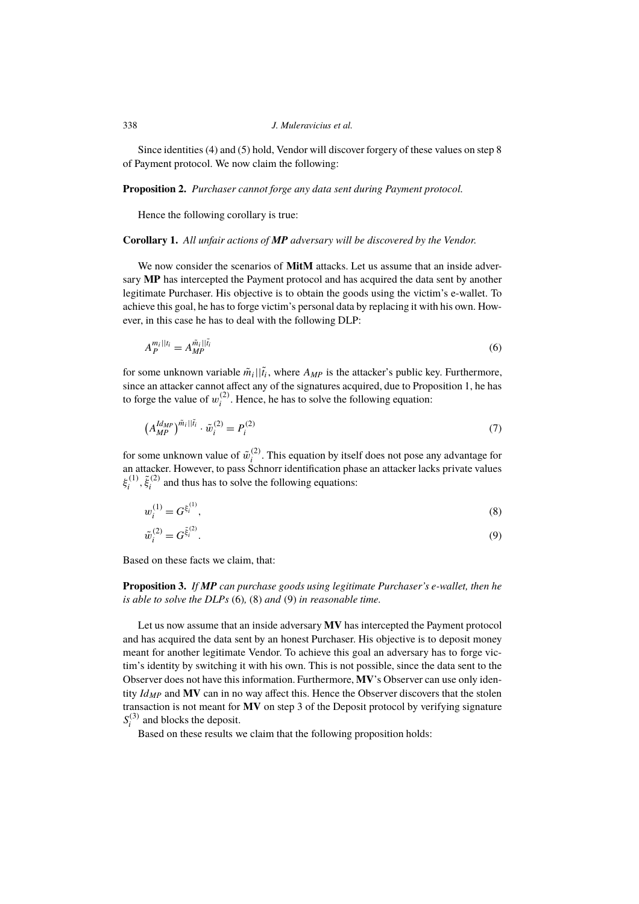## 338 *J. Muleravicius et al.*

Since identities (4) and (5) hold, Vendor will discover forgery of these values on step 8 of Payment protocol. We now claim the following:

**Proposition 2.** *Purchaser cannot forge any data sent during Payment protocol.*

Hence the following corollary is true:

#### **Corollary 1.** *All unfair actions of MP adversary will be discovered by the Vendor.*

We now consider the scenarios of **MitM** attacks. Let us assume that an inside adversary **MP** has intercepted the Payment protocol and has acquired the data sent by another legitimate Purchaser. His objective is to obtain the goods using the victim's e-wallet. To achieve this goal, he has to forge victim's personal data by replacing it with his own. However, in this case he has to deal with the following DLP:

$$
A_P^{m_i||i_i} = A_{MP}^{\tilde{m}_i||\tilde{i}_i} \tag{6}
$$

for some unknown variable  $\tilde{m}_i || \tilde{t}_i$ , where  $A_{MP}$  is the attacker's public key. Furthermore, since an attacker cannot affect any of the signatures acquired, due to Proposition 1, he has to forge the value of  $w_i^{(2)}$  $i^{(2)}$ . Hence, he has to solve the following equation:

$$
\left(A_{MP}^{Id_{MP}}\right)^{\tilde{m}_i||\tilde{t}_i} \cdot \tilde{w}_i^{(2)} = P_i^{(2)} \tag{7}
$$

for some unknown value of  $\tilde{w}_i^{(2)}$  $i<sup>(2)</sup>$ . This equation by itself does not pose any advantage for an attacker. However, to pass Schnorr identification phase an attacker lacks private values  $\xi_i^{(1)}$  $\tilde{\xi}_i^{(1)}, \tilde{\xi}_i^{(2)}$  $i_i^{(2)}$  and thus has to solve the following equations:

$$
w_i^{(1)} = G^{\xi_i^{(1)}},\tag{8}
$$

$$
\tilde{w}_i^{(2)} = G^{\tilde{\xi}_i^{(2)}}.
$$
\n(9)

Based on these facts we claim, that:

**Proposition 3.** *If MP can purchase goods using legitimate Purchaser's e-wallet, then he is able to solve the DLPs* (6)*,* (8) *and* (9) *in reasonable time.*

Let us now assume that an inside adversary **MV** has intercepted the Payment protocol and has acquired the data sent by an honest Purchaser. His objective is to deposit money meant for another legitimate Vendor. To achieve this goal an adversary has to forge victim's identity by switching it with his own. This is not possible, since the data sent to the Observer does not have this information. Furthermore, **MV**'s Observer can use only identity *IdMP* and **MV** can in no way affect this. Hence the Observer discovers that the stolen transaction is not meant for **MV** on step 3 of the Deposit protocol by verifying signature  $S_i^{(3)}$  $i^{(3)}$  and blocks the deposit.

Based on these results we claim that the following proposition holds: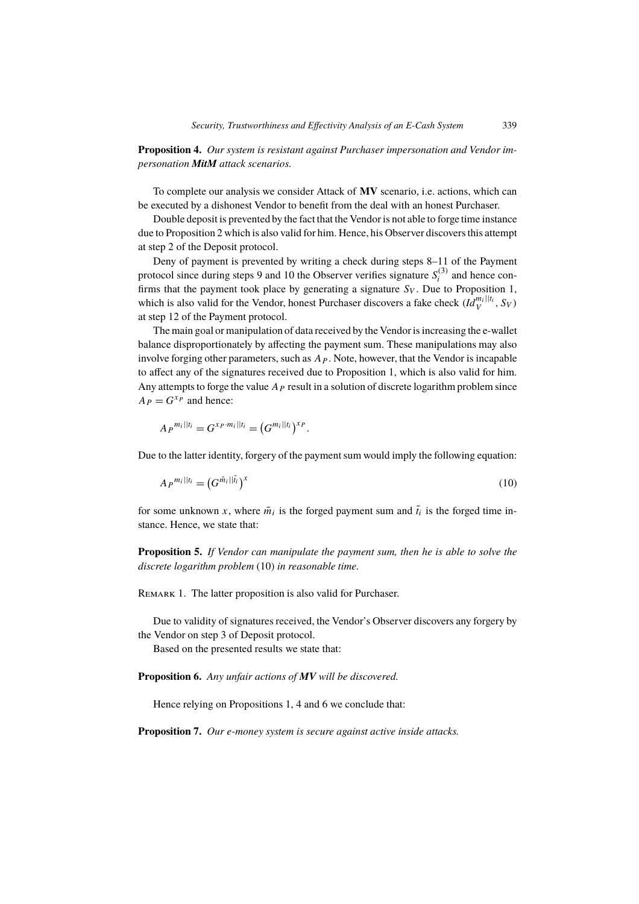**Proposition 4.** *Our system is resistant against Purchaser impersonation and Vendor impersonation MitM attack scenarios.*

To complete our analysis we consider Attack of **MV** scenario, i.e. actions, which can be executed by a dishonest Vendor to benefit from the deal with an honest Purchaser.

Double deposit is prevented by the fact that the Vendor is not able to forge time instance due to Proposition 2 which is also valid for him. Hence, his Observer discovers this attempt at step 2 of the Deposit protocol.

Deny of payment is prevented by writing a check during steps 8–11 of the Payment protocol since during steps 9 and 10 the Observer verifies signature  $S_i^{(3)}$  $i^{(3)}$  and hence confirms that the payment took place by generating a signature  $S_V$ . Due to Proposition 1, which is also valid for the Vendor, honest Purchaser discovers a fake check  $(\overline{Id}_V^{m_i||t_i}, S_V)$ at step 12 of the Payment protocol.

The main goal or manipulation of data received by the Vendor is increasing the e-wallet balance disproportionately by affecting the payment sum. These manipulations may also involve forging other parameters, such as  $A<sub>P</sub>$ . Note, however, that the Vendor is incapable to affect any of the signatures received due to Proposition 1, which is also valid for him. Any attempts to forge the value  $A<sub>P</sub>$  result in a solution of discrete logarithm problem since  $A_P = G^{x_P}$  and hence:

$$
A_P^{m_i||t_i} = G^{x_P \cdot m_i||t_i} = (G^{m_i||t_i})^{x_P}.
$$

Due to the latter identity, forgery of the payment sum would imply the following equation:

$$
A_P^{m_i||t_i} = \left(G^{\tilde{m}_i||\tilde{t}_i}\right)^x \tag{10}
$$

for some unknown x, where  $\tilde{m}_i$  is the forged payment sum and  $\tilde{t}_i$  is the forged time instance. Hence, we state that:

**Proposition 5.** *If Vendor can manipulate the payment sum, then he is able to solve the discrete logarithm problem* (10) *in reasonable time.*

REMARK 1. The latter proposition is also valid for Purchaser.

Due to validity of signatures received, the Vendor's Observer discovers any forgery by the Vendor on step 3 of Deposit protocol.

Based on the presented results we state that:

**Proposition 6.** *Any unfair actions of MV will be discovered.*

Hence relying on Propositions 1, 4 and 6 we conclude that:

**Proposition 7.** *Our e-money system is secure against active inside attacks.*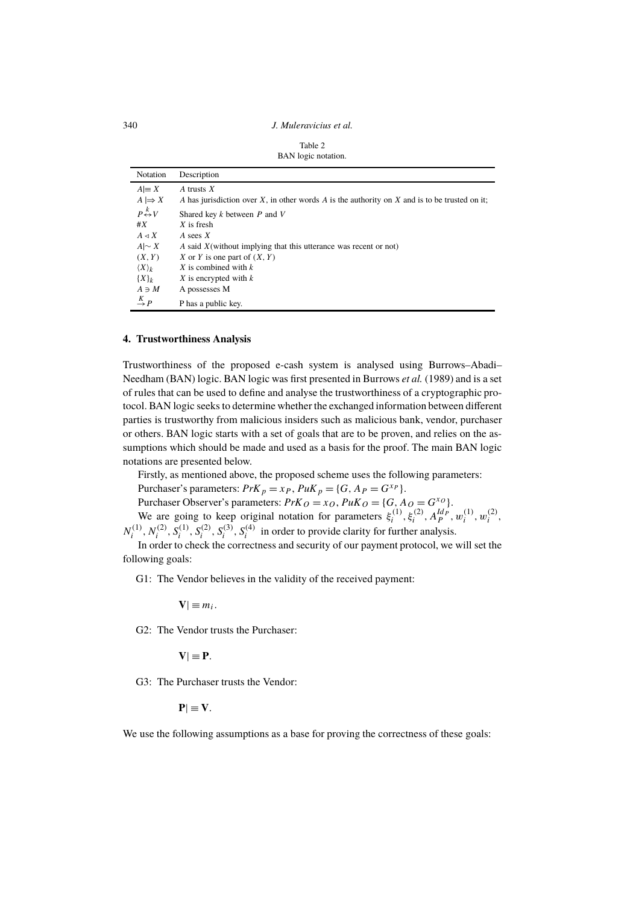340 *J. Muleravicius et al.*

| Table 2 |                     |
|---------|---------------------|
|         | BAN logic notation. |

| Notation                            | Description                                                                                   |
|-------------------------------------|-----------------------------------------------------------------------------------------------|
| $A \equiv X$                        | A trusts $X$                                                                                  |
| $A \mapsto X$                       | A has jurisdiction over X, in other words A is the authority on X and is to be trusted on it; |
| $P \stackrel{k}{\leftrightarrow} V$ | Shared key $k$ between $P$ and $V$                                                            |
| #X                                  | $X$ is fresh                                                                                  |
| $A \triangleleft X$                 | A sees $X$                                                                                    |
| $A\sim X$                           | A said $X$ (without implying that this utterance was recent or not)                           |
| (X, Y)                              | X or Y is one part of $(X, Y)$                                                                |
| $\langle X \rangle_k$               | X is combined with $k$                                                                        |
| ${X}_k$                             | $X$ is encrypted with $k$                                                                     |
| $A \ni M$                           | A possesses M                                                                                 |
| $\stackrel{K}{\rightarrow} P$       | P has a public key.                                                                           |

# **4. Trustworthiness Analysis**

Trustworthiness of the proposed e-cash system is analysed using Burrows–Abadi– Needham (BAN) logic. BAN logic was first presented in Burrows *et al.* (1989) and is a set of rules that can be used to define and analyse the trustworthiness of a cryptographic protocol. BAN logic seeks to determine whether the exchanged information between different parties is trustworthy from malicious insiders such as malicious bank, vendor, purchaser or others. BAN logic starts with a set of goals that are to be proven, and relies on the assumptions which should be made and used as a basis for the proof. The main BAN logic notations are presented below.

Firstly, as mentioned above, the proposed scheme uses the following parameters:

Purchaser's parameters:  $PrK_p = x_P$ ,  $PuK_p = \{G, A_P = G^{x_P}\}.$ 

Purchaser Observer's parameters:  $PrK_O = x_O$ ,  $PuK_O = \{G, Ao = G^{xo}\}.$ 

We are going to keep original notation for parameters  $\xi_i^{(1)}$  $\zeta_i^{(1)}, \xi_i^{(2)}, A_P^{Id_P}, w_i^{(1)}$  $\binom{1}{i}$ ,  $w_i^{(2)}$  $\binom{2i}{i}$  $N_i^{(1)}$  $\hat{N}_i^{(1)}, N_i^{(2)}, \hat{S}_i^{(1)}, \hat{S}_i^{(2)}, S_i^{(3)}, S_i^{(4)}$  in order to provide clarity for further analysis.

In order to check the correctness and security of our payment protocol, we will set the following goals:

G1: The Vendor believes in the validity of the received payment:

 $V| \equiv m_i$ .

G2: The Vendor trusts the Purchaser:

 $V| \equiv P$ .

G3: The Purchaser trusts the Vendor:

 $P| \equiv V$ .

We use the following assumptions as a base for proving the correctness of these goals: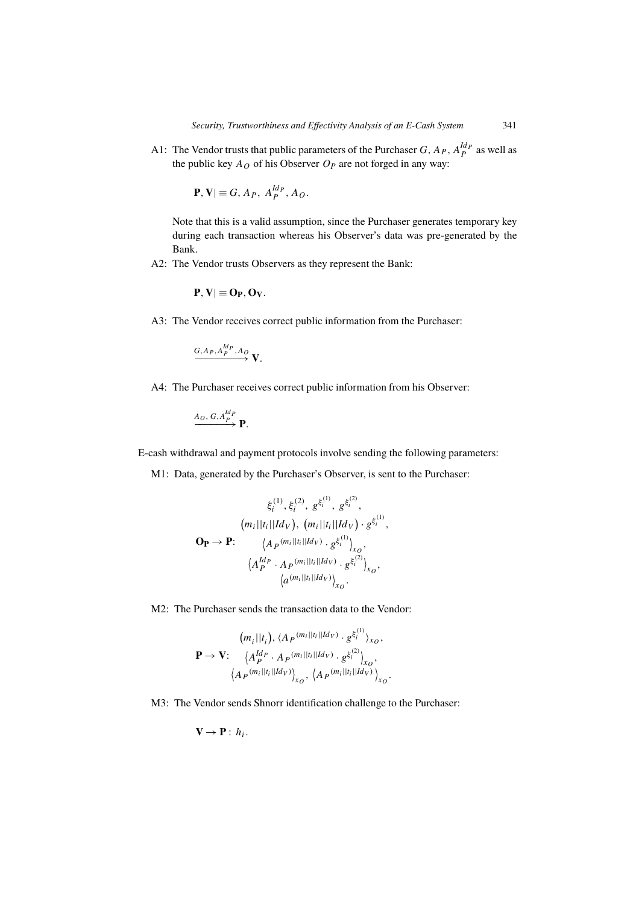A1: The Vendor trusts that public parameters of the Purchaser  $G$ ,  $A_P$ ,  $A_P^{Id_P}$  as well as the public key  $A_O$  of his Observer  $O_P$  are not forged in any way:

$$
\mathbf{P}, \mathbf{V} \equiv G, A_P, A_P^{Id_P}, A_O.
$$

Note that this is a valid assumption, since the Purchaser generates temporary key during each transaction whereas his Observer's data was pre-generated by the Bank.

A2: The Vendor trusts Observers as they represent the Bank:

$$
P, V| \equiv O_P, O_V.
$$

A3: The Vendor receives correct public information from the Purchaser:

$$
\xrightarrow{G, A_P, A_P^{Id_P}, A_O} \mathbf{V}.
$$

A4: The Purchaser receives correct public information from his Observer:

$$
\xrightarrow{A_O, G, A_P^{Id_P}} \mathbf{P}.
$$

E-cash withdrawal and payment protocols involve sending the following parameters:

M1: Data, generated by the Purchaser's Observer, is sent to the Purchaser:

$$
\xi_i^{(1)}, \xi_i^{(2)}, g^{\xi_i^{(1)}}, g^{\xi_i^{(2)}},
$$
\n
$$
(m_i||t_i||Id_V), (m_i||t_i||Id_V) \cdot g^{\xi_i^{(1)}},
$$
\n
$$
\mathbf{O}_P \to \mathbf{P}: \qquad \langle A_P^{(m_i||t_i||Id_V)} \cdot g^{\xi_i^{(1)}} \rangle_{x_O},
$$
\n
$$
\langle A_P^{Id_P} \cdot A_P^{(m_i||t_i||Id_V)} \cdot g^{\xi_i^{(2)}} \rangle_{x_O},
$$
\n
$$
\langle a^{(m_i||t_i||Id_V)} \rangle_{x_O}.
$$

M2: The Purchaser sends the transaction data to the Vendor:

$$
(m_i||t_i), \langle A_P^{(m_i||t_i||Id_V)} \cdot g^{\xi_i^{(1)}} \rangle_{x_O},
$$
  
\n
$$
\mathbf{P} \to \mathbf{V}; \quad \langle A_P^{Id_P} \cdot A_P^{(m_i||t_i||Id_V)} \cdot g^{\xi_i^{(2)}} \rangle_{x_O},
$$
  
\n
$$
\langle A_P^{(m_i||t_i||Id_V)} \rangle_{x_O}, \langle A_P^{(m_i||t_i||Id_V)} \rangle_{x_O}.
$$

M3: The Vendor sends Shnorr identification challenge to the Purchaser:

$$
\mathbf{V} \to \mathbf{P} : h_i.
$$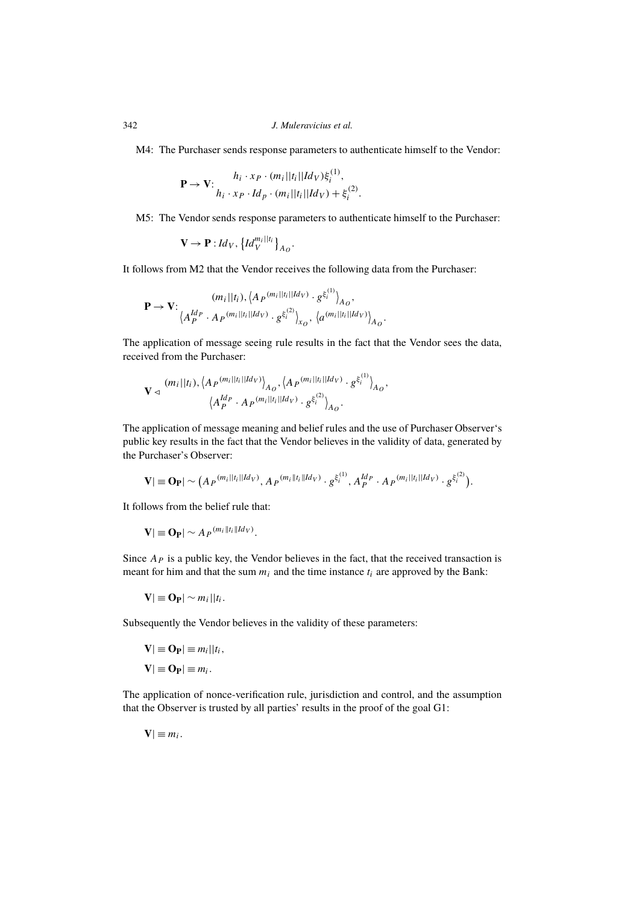M4: The Purchaser sends response parameters to authenticate himself to the Vendor:

$$
\mathbf{P} \rightarrow \mathbf{V}: \begin{array}{c} h_i \cdot x_P \cdot (m_i || t_i || Id_V) \xi_i^{(1)}, \\ h_i \cdot x_P \cdot Id_P \cdot (m_i || t_i || Id_V) + \xi_i^{(2)} \end{array}
$$

M5: The Vendor sends response parameters to authenticate himself to the Purchaser:

.

.

$$
\mathbf{V} \to \mathbf{P} : Id_V, \left\{ Id_V^{m_i || t_i} \right\}_{A_O}.
$$

It follows from M2 that the Vendor receives the following data from the Purchaser:

$$
\mathbf{P} \to \mathbf{V}: \begin{array}{c} (m_i||t_i), \left\langle A_P^{(m_i||t_i||Id_V)} \cdot g^{\xi_i^{(1)}} \right\rangle_{A_O}, \\ \left\langle A_P^{Id_P} \cdot A_P^{(m_i||t_i||Id_V)} \cdot g^{\xi_i^{(2)}} \right\rangle_{x_O}, \left\langle a^{(m_i||t_i||Id_V)} \right\rangle_{A_O} \end{array}
$$

The application of message seeing rule results in the fact that the Vendor sees the data, received from the Purchaser:

$$
\mathbf{V} \triangleleft \frac{(m_i||t_i) , \langle A_P^{(m_i||t_i||Id_V)} \rangle_{A_O} , \langle A_P^{(m_i||t_i||Id_V)} \cdot g^{\xi_i^{(1)}} \rangle_{A_O} ,\langle A_P^{Id_P} \cdot A_P^{(m_i||t_i||Id_V)} \cdot g^{\xi_i^{(2)}} \rangle_{A_O} .
$$

The application of message meaning and belief rules and the use of Purchaser Observer's public key results in the fact that the Vendor believes in the validity of data, generated by the Purchaser's Observer:

$$
\mathbf{V}|\equiv \mathbf{O}_{\mathbf{P}}|\sim \big(A_P^{(m_i||t_i||ld_V)}, A_P^{(m_i||t_i||ld_V)}\cdot g^{\xi_i^{(1)}}, A_P^{ld_P}\cdot A_P^{(m_i||t_i||ld_V)}\cdot g^{\xi_i^{(2)}}\big).
$$

It follows from the belief rule that:

$$
\mathbf{V}|\equiv \mathbf{O}_{\mathbf{P}}|\sim A_{P}^{(m_{i}||t_{i}||Id_{V})}.
$$

Since  $A<sub>P</sub>$  is a public key, the Vendor believes in the fact, that the received transaction is meant for him and that the sum  $m_i$  and the time instance  $t_i$  are approved by the Bank:

$$
\mathbf{V}|\equiv \mathbf{O}_{\mathbf{P}}|\sim m_i||t_i.
$$

Subsequently the Vendor believes in the validity of these parameters:

$$
\mathbf{V} \equiv \mathbf{O}_{\mathbf{P}} \equiv m_i || t_i,
$$
  

$$
\mathbf{V} \equiv \mathbf{O}_{\mathbf{P}} \equiv m_i.
$$

The application of nonce-verification rule, jurisdiction and control, and the assumption that the Observer is trusted by all parties' results in the proof of the goal G1:

 $V| \equiv m_i$ .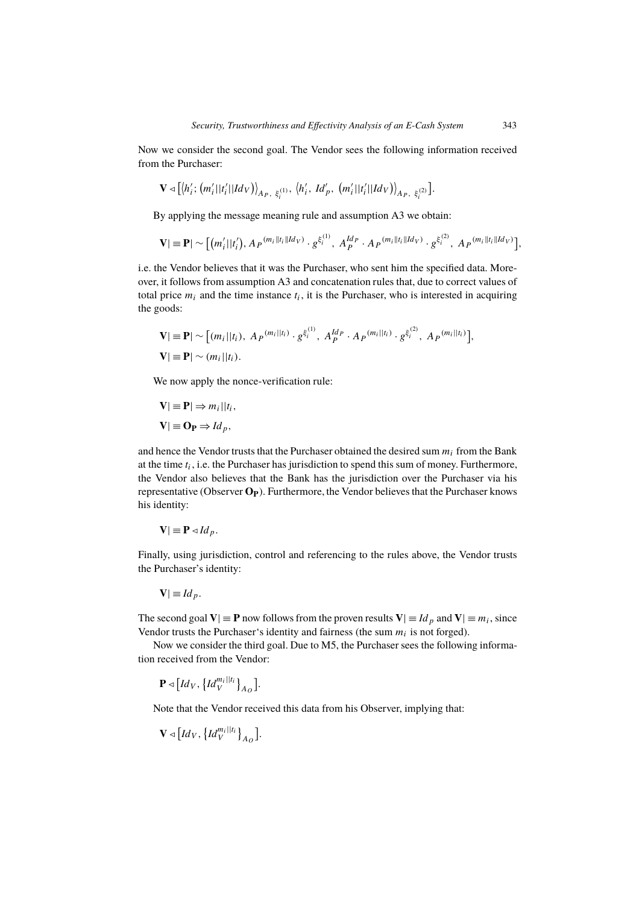Now we consider the second goal. The Vendor sees the following information received from the Purchaser:

$$
\mathbf{V} \triangleleft [\langle h_i'; \left( m_i' || t_i' || Id_V \right) \rangle_{A_P, \xi_i^{(1)}}, \langle h_i', \, Id_p', \, \left( m_i' || t_i' || Id_V \right) \rangle_{A_P, \xi_i^{(2)}}].
$$

By applying the message meaning rule and assumption A3 we obtain:

$$
\mathbf{V}|\equiv\mathbf{P}|\sim\big[(m'_{i}||t'_{i}),A_{P}^{(m_{i}||t_{i}||Id_{V})}\cdot g^{\xi_{i}^{(1)}},A_{P}^{Id_{P}}\cdot A_{P}^{(m_{i}||t_{i}||Id_{V})}\cdot g^{\xi_{i}^{(2)}},A_{P}^{(m_{i}||t_{i}||Id_{V})}\big],
$$

i.e. the Vendor believes that it was the Purchaser, who sent him the specified data. Moreover, it follows from assumption A3 and concatenation rules that, due to correct values of total price  $m_i$  and the time instance  $t_i$ , it is the Purchaser, who is interested in acquiring the goods:

$$
\mathbf{V}|\equiv \mathbf{P}|\sim [(m_i||t_i),\ A_P^{(m_i||t_i)}\cdot g^{\xi_i^{(1)}},\ A_P^{Id_P}\cdot A_P^{(m_i||t_i)}\cdot g^{\xi_i^{(2)}},\ A_P^{(m_i||t_i)}],
$$
  

$$
\mathbf{V}|\equiv \mathbf{P}|\sim (m_i||t_i).
$$

We now apply the nonce-verification rule:

$$
\mathbf{V} \equiv \mathbf{P} \Rightarrow m_i || t_i,
$$
  

$$
\mathbf{V} \equiv \mathbf{O_P} \Rightarrow Id_p,
$$

and hence the Vendor trusts that the Purchaser obtained the desired sum  $m_i$  from the Bank at the time  $t_i$ , i.e. the Purchaser has jurisdiction to spend this sum of money. Furthermore, the Vendor also believes that the Bank has the jurisdiction over the Purchaser via his representative (Observer **OP**). Furthermore, the Vendor believes that the Purchaser knows his identity:

$$
\mathbf{V} \equiv \mathbf{P} \triangleleft Id_p.
$$

Finally, using jurisdiction, control and referencing to the rules above, the Vendor trusts the Purchaser's identity:

$$
\mathbf{V} \equiv Id_{p}.
$$

The second goal  $V| \equiv P$  now follows from the proven results  $V| \equiv Id_p$  and  $V| \equiv m_i$ , since Vendor trusts the Purchaser's identity and fairness (the sum  $m_i$  is not forged).

Now we consider the third goal. Due to M5, the Purchaser sees the following information received from the Vendor:

$$
\mathbf{P} \triangleleft \left[ Id_V, \left\{ Id_V^{m_i || t_i} \right\}_{A_O} \right].
$$

Note that the Vendor received this data from his Observer, implying that:

$$
\mathbf{V} \triangleleft \big[ Id_{V},\big\{ Id_{V}^{m_{i}||t_{i}}\big\}_{A_{O}}\big].
$$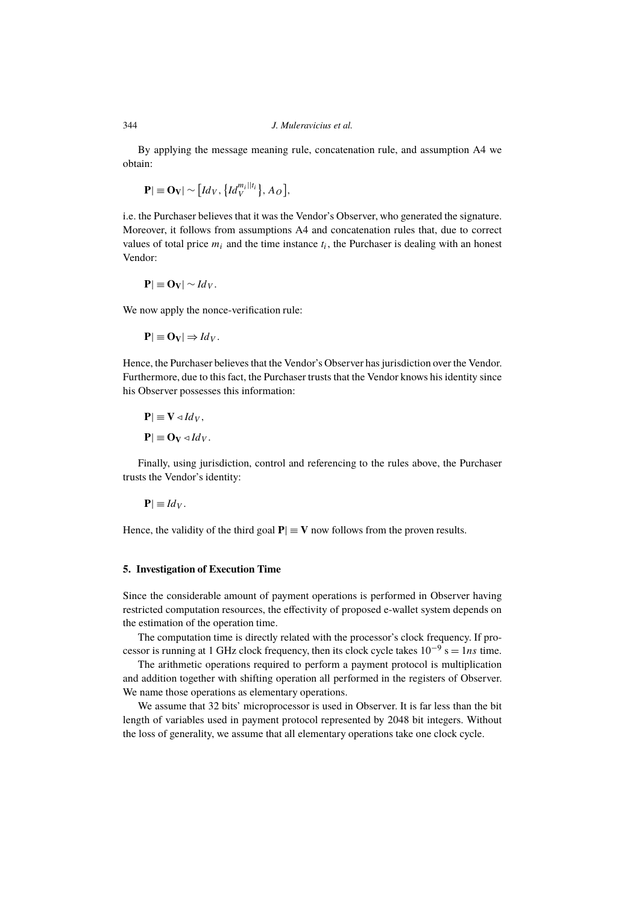By applying the message meaning rule, concatenation rule, and assumption A4 we obtain:

$$
\mathbf{P}|\equiv \mathbf{O}_{\mathbf{V}}|\sim \bigl[Id_V,\bigl\{Id_V^{m_i||t_i}\bigr\},A_O\bigr],
$$

i.e. the Purchaser believes that it was the Vendor's Observer, who generated the signature. Moreover, it follows from assumptions A4 and concatenation rules that, due to correct values of total price  $m_i$  and the time instance  $t_i$ , the Purchaser is dealing with an honest Vendor:

$$
\mathbf{P}|\equiv \mathbf{O}_V|\sim Id_V.
$$

We now apply the nonce-verification rule:

$$
\mathbf{P}|\equiv \mathbf{O}_V|\Rightarrow Id_V.
$$

Hence, the Purchaser believes that the Vendor's Observer has jurisdiction over the Vendor. Furthermore, due to this fact, the Purchaser trusts that the Vendor knows his identity since his Observer possesses this information:

$$
\mathbf{P}|\equiv \mathbf{V} \triangleleft Id_V,
$$
  

$$
\mathbf{P}|\equiv \mathbf{O}_V \triangleleft Id_V.
$$

Finally, using jurisdiction, control and referencing to the rules above, the Purchaser trusts the Vendor's identity:

$$
\mathbf{P}|\equiv Id_V.
$$

Hence, the validity of the third goal  $P| \equiv V$  now follows from the proven results.

#### **5. Investigation of Execution Time**

Since the considerable amount of payment operations is performed in Observer having restricted computation resources, the effectivity of proposed e-wallet system depends on the estimation of the operation time.

The computation time is directly related with the processor's clock frequency. If processor is running at 1 GHz clock frequency, then its clock cycle takes  $10^{-9}$  s = 1ns time.

The arithmetic operations required to perform a payment protocol is multiplication and addition together with shifting operation all performed in the registers of Observer. We name those operations as elementary operations.

We assume that 32 bits' microprocessor is used in Observer. It is far less than the bit length of variables used in payment protocol represented by 2048 bit integers. Without the loss of generality, we assume that all elementary operations take one clock cycle.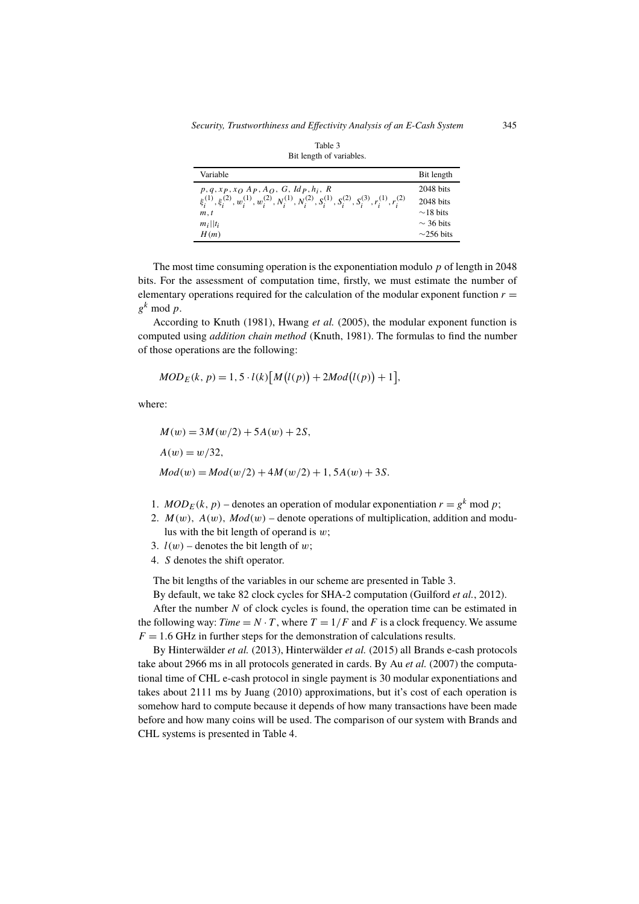| Bit length of variables.                                                                                                                                                                                       |                                                                                 |  |  |
|----------------------------------------------------------------------------------------------------------------------------------------------------------------------------------------------------------------|---------------------------------------------------------------------------------|--|--|
| Variable                                                                                                                                                                                                       | Bit length                                                                      |  |  |
| $p, q, xp, x_O$ $Ap, A_O$ , $G, Idp, h_i$ , $R$<br>$\xi_i^{(1)}, \xi_i^{(2)}, w_i^{(1)}, w_i^{(2)}, N_i^{(1)}, N_i^{(2)}, S_i^{(1)}, S_i^{(2)}, S_i^{(3)}, r_i^{(1)}, r_i^{(2)}$<br>m, t<br>$m_i  t_i$<br>H(m) | $2048$ bits<br>2048 bits<br>$\sim$ 18 bits<br>$\sim$ 36 bits<br>$\sim$ 256 bits |  |  |

The most time consuming operation is the exponentiation modulo  $p$  of length in 2048 bits. For the assessment of computation time, firstly, we must estimate the number of elementary operations required for the calculation of the modular exponent function  $r =$  $g^k \mod p$ .

According to Knuth (1981), Hwang *et al.* (2005), the modular exponent function is computed using *addition chain method* (Knuth, 1981). The formulas to find the number of those operations are the following:

$$
MOD_E(k, p) = 1, 5 \cdot l(k)[M(l(p)) + 2Mod(l(p)) + 1],
$$

where:

$$
M(w) = 3M(w/2) + 5A(w) + 2S,
$$
  
\n
$$
A(w) = w/32,
$$
  
\n
$$
Mod(w) = Mod(w/2) + 4M(w/2) + 1, 5A(w) + 3S.
$$

- 1.  $MOD_E(k, p)$  denotes an operation of modular exponentiation  $r = g^k \text{ mod } p$ ;
- 2.  $M(w)$ ,  $A(w)$ ,  $Mod(w)$  denote operations of multiplication, addition and modulus with the bit length of operand is  $w$ ;
- 3.  $l(w)$  denotes the bit length of w;
- 4. S denotes the shift operator.

The bit lengths of the variables in our scheme are presented in Table 3.

By default, we take 82 clock cycles for SHA-2 computation (Guilford *et al.*, 2012).

After the number  $N$  of clock cycles is found, the operation time can be estimated in the following way: *Time* =  $N \cdot T$ , where  $T = 1/F$  and F is a clock frequency. We assume  $F = 1.6$  GHz in further steps for the demonstration of calculations results.

By Hinterwälder *et al.* (2013), Hinterwälder *et al.* (2015) all Brands e-cash protocols take about 2966 ms in all protocols generated in cards. By Au *et al.* (2007) the computational time of CHL e-cash protocol in single payment is 30 modular exponentiations and takes about 2111 ms by Juang (2010) approximations, but it's cost of each operation is somehow hard to compute because it depends of how many transactions have been made before and how many coins will be used. The comparison of our system with Brands and CHL systems is presented in Table 4.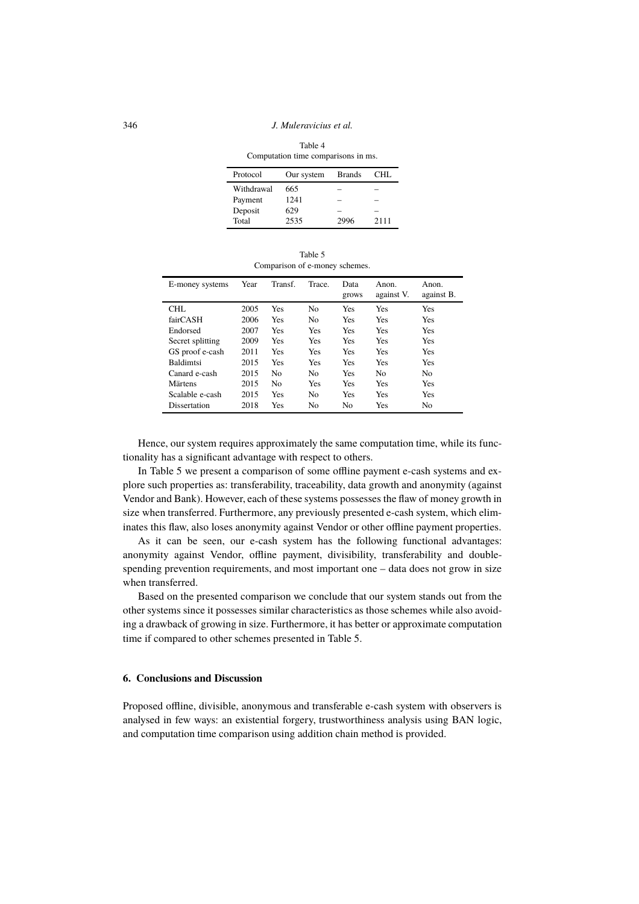346 *J. Muleravicius et al.*

Table 4 Computation time comparisons in ms.

| Protocol   | Our system | <b>Brands</b> | CHL. |
|------------|------------|---------------|------|
| Withdrawal | 665        |               |      |
| Payment    | 1241       |               |      |
| Deposit    | 629        |               |      |
| Total      | 2535       | 2996          | 2111 |

Table 5 Comparison of e-money schemes.

| E-money systems  | Year | Transf.        | Trace.         | Data<br>grows  | Anon.<br>against V. | Anon.<br>against B. |
|------------------|------|----------------|----------------|----------------|---------------------|---------------------|
| CHL              | 2005 | Yes            | No             | Yes            | Yes                 | Yes                 |
| fairCASH         | 2006 | Yes            | No             | Yes            | Yes                 | Yes                 |
| Endorsed         | 2007 | Yes            | Yes            | Yes            | <b>Yes</b>          | Yes                 |
| Secret splitting | 2009 | Yes            | Yes            | Yes            | Yes                 | Yes                 |
| GS proof e-cash  | 2011 | Yes            | Yes            | Yes            | Yes                 | Yes                 |
| <b>Baldimtsi</b> | 2015 | Yes            | Yes            | Yes            | <b>Yes</b>          | Yes                 |
| Canard e-cash    | 2015 | N <sub>0</sub> | No             | Yes            | No.                 | No                  |
| Märtens          | 2015 | N <sub>0</sub> | Yes            | Yes            | Yes                 | Yes                 |
| Scalable e-cash  | 2015 | Yes            | N <sub>0</sub> | Yes            | Yes                 | Yes                 |
| Dissertation     | 2018 | Yes            | No             | N <sub>0</sub> | Yes                 | No                  |

Hence, our system requires approximately the same computation time, while its functionality has a significant advantage with respect to others.

In Table 5 we present a comparison of some offline payment e-cash systems and explore such properties as: transferability, traceability, data growth and anonymity (against Vendor and Bank). However, each of these systems possesses the flaw of money growth in size when transferred. Furthermore, any previously presented e-cash system, which eliminates this flaw, also loses anonymity against Vendor or other offline payment properties.

As it can be seen, our e-cash system has the following functional advantages: anonymity against Vendor, offline payment, divisibility, transferability and doublespending prevention requirements, and most important one – data does not grow in size when transferred.

Based on the presented comparison we conclude that our system stands out from the other systems since it possesses similar characteristics as those schemes while also avoiding a drawback of growing in size. Furthermore, it has better or approximate computation time if compared to other schemes presented in Table 5.

# **6. Conclusions and Discussion**

Proposed offline, divisible, anonymous and transferable e-cash system with observers is analysed in few ways: an existential forgery, trustworthiness analysis using BAN logic, and computation time comparison using addition chain method is provided.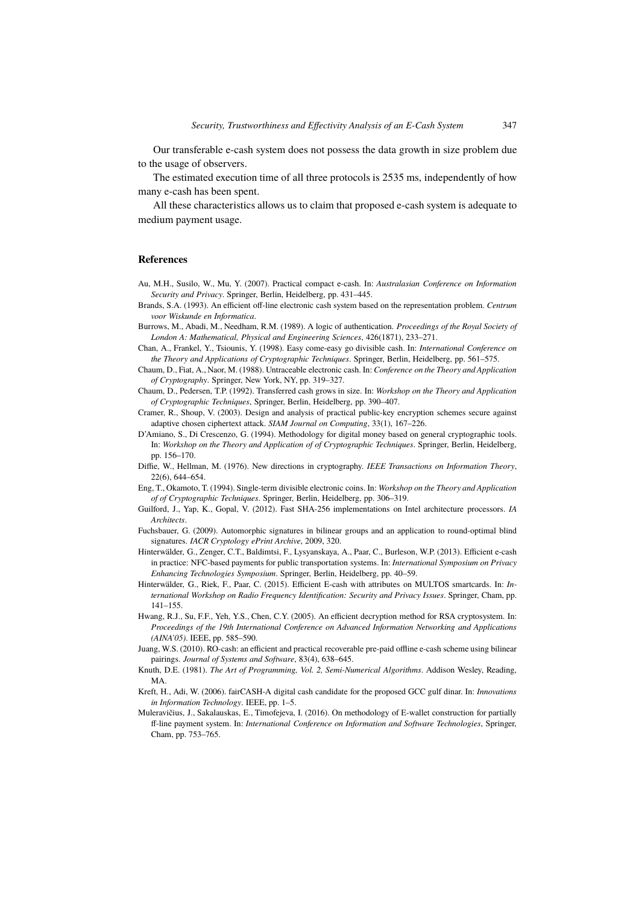Our transferable e-cash system does not possess the data growth in size problem due to the usage of observers.

The estimated execution time of all three protocols is 2535 ms, independently of how many e-cash has been spent.

All these characteristics allows us to claim that proposed e-cash system is adequate to medium payment usage.

#### **References**

- Au, M.H., Susilo, W., Mu, Y. (2007). Practical compact e-cash. In: *Australasian Conference on Information Security and Privacy*. Springer, Berlin, Heidelberg, pp. 431–445.
- Brands, S.A. (1993). An efficient off-line electronic cash system based on the representation problem. *Centrum voor Wiskunde en Informatica*.
- Burrows, M., Abadi, M., Needham, R.M. (1989). A logic of authentication. *Proceedings of the Royal Society of London A: Mathematical, Physical and Engineering Sciences*, 426(1871), 233–271.
- Chan, A., Frankel, Y., Tsiounis, Y. (1998). Easy come-easy go divisible cash. In: *International Conference on the Theory and Applications of Cryptographic Techniques*. Springer, Berlin, Heidelberg, pp. 561–575.
- Chaum, D., Fiat, A., Naor, M. (1988). Untraceable electronic cash. In: *Conference on the Theory and Application of Cryptography*. Springer, New York, NY, pp. 319–327.
- Chaum, D., Pedersen, T.P. (1992). Transferred cash grows in size. In: *Workshop on the Theory and Application of Cryptographic Techniques*, Springer, Berlin, Heidelberg, pp. 390–407.
- Cramer, R., Shoup, V. (2003). Design and analysis of practical public-key encryption schemes secure against adaptive chosen ciphertext attack. *SIAM Journal on Computing*, 33(1), 167–226.
- D'Amiano, S., Di Crescenzo, G. (1994). Methodology for digital money based on general cryptographic tools. In: *Workshop on the Theory and Application of of Cryptographic Techniques*. Springer, Berlin, Heidelberg, pp. 156–170.
- Diffie, W., Hellman, M. (1976). New directions in cryptography. *IEEE Transactions on Information Theory*, 22(6), 644–654.
- Eng, T., Okamoto, T. (1994). Single-term divisible electronic coins. In: *Workshop on the Theory and Application of of Cryptographic Techniques*. Springer, Berlin, Heidelberg, pp. 306–319.
- Guilford, J., Yap, K., Gopal, V. (2012). Fast SHA-256 implementations on Intel architecture processors. *IA Architects*.
- Fuchsbauer, G. (2009). Automorphic signatures in bilinear groups and an application to round-optimal blind signatures. *IACR Cryptology ePrint Archive*, 2009, 320.
- Hinterwälder, G., Zenger, C.T., Baldimtsi, F., Lysyanskaya, A., Paar, C., Burleson, W.P. (2013). Efficient e-cash in practice: NFC-based payments for public transportation systems. In: *International Symposium on Privacy Enhancing Technologies Symposium*. Springer, Berlin, Heidelberg, pp. 40–59.
- Hinterwälder, G., Riek, F., Paar, C. (2015). Efficient E-cash with attributes on MULTOS smartcards. In: *International Workshop on Radio Frequency Identification: Security and Privacy Issues*. Springer, Cham, pp. 141–155.
- Hwang, R.J., Su, F.F., Yeh, Y.S., Chen, C.Y. (2005). An efficient decryption method for RSA cryptosystem. In: *Proceedings of the 19th International Conference on Advanced Information Networking and Applications (AINA'05)*. IEEE, pp. 585–590.
- Juang, W.S. (2010). RO-cash: an efficient and practical recoverable pre-paid offline e-cash scheme using bilinear pairings. *Journal of Systems and Software*, 83(4), 638–645.
- Knuth, D.E. (1981). *The Art of Programming, Vol. 2, Semi-Numerical Algorithms*. Addison Wesley, Reading, MA.
- Kreft, H., Adi, W. (2006). fairCASH-A digital cash candidate for the proposed GCC gulf dinar. In: *Innovations in Information Technology*. IEEE, pp. 1–5.
- Muleravičius, J., Sakalauskas, E., Timofejeva, I. (2016). On methodology of E-wallet construction for partially ff-line payment system. In: *International Conference on Information and Software Technologies*, Springer, Cham, pp. 753–765.